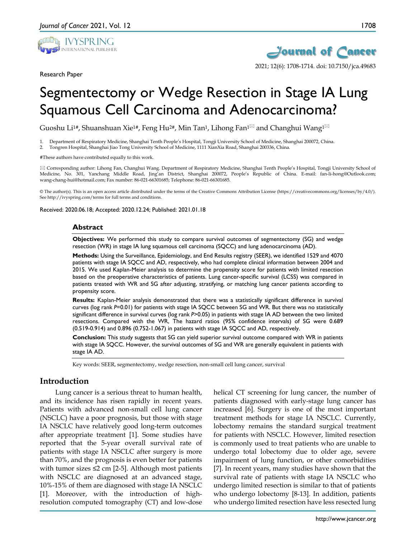

Research Paper



# Segmentectomy or Wedge Resection in Stage IA Lung Squamous Cell Carcinoma and Adenocarcinoma?

Guoshu Li<sup>1#</sup>, Shuanshuan Xie<sup>1#</sup>, Feng Hu<sup>2#</sup>, Min Tan<sup>1</sup>, Lihong Fan<sup>1 $\boxtimes$ </sup> and Changhui Wang<sup>1 $\boxtimes$ </sup>

1. Department of Respiratory Medicine, Shanghai Tenth People's Hospital, Tongji University School of Medicine, Shanghai 200072, China.

2. Tongren Hospital, Shanghai Jiao Tong University School of Medicine, 1111 XianXia Road, Shanghai 200336, China.

#These authors have contributed equally to this work.

 Corresponding author: Lihong Fan, Changhui Wang. Department of Respiratory Medicine, Shanghai Tenth People's Hospital, Tongji University School of Medicine, No. 301, Yanchang Middle Road, Jing'an District, Shanghai 200072, People's Republic of China. E-mail: fan-li-hong@Outlook.com; wang-chang-hui@hotmail.com; Fax number: 86-021-66301685; Telephone: 86-021-66301685.

© The author(s). This is an open access article distributed under the terms of the Creative Commons Attribution License (https://creativecommons.org/licenses/by/4.0/). See http://ivyspring.com/terms for full terms and conditions.

Received: 2020.06.18; Accepted: 2020.12.24; Published: 2021.01.18

#### **Abstract**

**Objectives:** We performed this study to compare survival outcomes of segmentectomy (SG) and wedge resection (WR) in stage IA lung squamous cell carcinoma (SQCC) and lung adenocarcinoma (AD).

**Methods:** Using the Surveillance, Epidemiology, and End Results registry (SEER), we identified 1529 and 4070 patients with stage IA SQCC and AD, respectively, who had complete clinical information between 2004 and 2015. We used Kaplan-Meier analysis to determine the propensity score for patients with limited resection based on the preoperative characteristics of patients. Lung cancer-specific survival (LCSS) was compared in patients treated with WR and SG after adjusting, stratifying, or matching lung cancer patients according to propensity score.

**Results:** Kaplan-Meier analysis demonstrated that there was a statistically significant difference in survival curves (log rank *P*=0.01) for patients with stage IA SQCC between SG and WR. But there was no statistically significant difference in survival curves (log rank *P*>0.05) in patients with stage IA AD between the two limited resections. Compared with the WR, The hazard ratios (95% confidence intervals) of SG were 0.689 (0.519-0.914) and 0.896 (0.752-1.067) in patients with stage IA SQCC and AD, respectively.

**Conclusion:** This study suggests that SG can yield superior survival outcome compared with WR in patients with stage IA SQCC. However, the survival outcomes of SG and WR are generally equivalent in patients with stage IA AD.

Key words: SEER, segmentectomy, wedge resection, non-small cell lung cancer, survival

# **Introduction**

Lung cancer is a serious threat to human health, and its incidence has risen rapidly in recent years. Patients with advanced non-small cell lung cancer (NSCLC) have a poor prognosis, but those with stage IA NSCLC have relatively good long-term outcomes after appropriate treatment [1]. Some studies have reported that the 5-year overall survival rate of patients with stage IA NSCLC after surgery is more than 70%, and the prognosis is even better for patients with tumor sizes  $\leq 2$  cm [2-5]. Although most patients with NSCLC are diagnosed at an advanced stage, 10%-15% of them are diagnosed with stage IA NSCLC [1]. Moreover, with the introduction of highresolution computed tomography (CT) and low-dose

helical CT screening for lung cancer, the number of patients diagnosed with early-stage lung cancer has increased [6]. Surgery is one of the most important treatment methods for stage IA NSCLC. Currently, lobectomy remains the standard surgical treatment for patients with NSCLC. However, limited resection is commonly used to treat patients who are unable to undergo total lobectomy due to older age, severe impairment of lung function, or other comorbidities [7]. In recent years, many studies have shown that the survival rate of patients with stage IA NSCLC who undergo limited resection is similar to that of patients who undergo lobectomy [8-13]. In addition, patients who undergo limited resection have less resected lung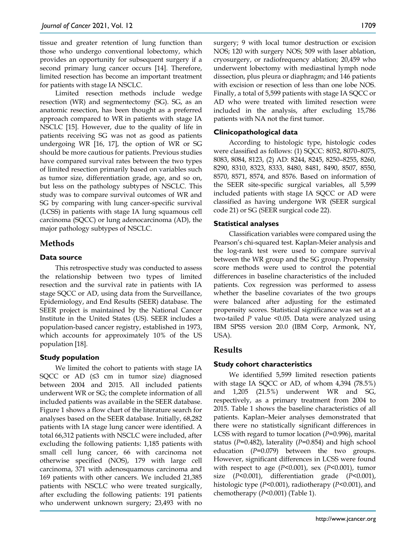tissue and greater retention of lung function than those who undergo conventional lobectomy, which provides an opportunity for subsequent surgery if a second primary lung cancer occurs [14]. Therefore, limited resection has become an important treatment for patients with stage IA NSCLC.

Limited resection methods include wedge resection (WR) and segmentectomy (SG). SG, as an anatomic resection, has been thought as a preferred approach compared to WR in patients with stage IA NSCLC [15]. However, due to the quality of life in patients receiving SG was not as good as patients undergoing WR [16, 17], the option of WR or SG should be more cautious for patients. Previous studies have compared survival rates between the two types of limited resection primarily based on variables such as tumor size, differentiation grade, age, and so on, but less on the pathology subtypes of NSCLC. This study was to compare survival outcomes of WR and SG by comparing with lung cancer-specific survival (LCSS) in patients with stage IA lung squamous cell carcinoma (SQCC) or lung adenocarcinoma (AD), the major pathology subtypes of NSCLC.

# **Methods**

#### **Data source**

This retrospective study was conducted to assess the relationship between two types of limited resection and the survival rate in patients with IA stage SQCC or AD, using data from the Surveillance, Epidemiology, and End Results (SEER) database. The SEER project is maintained by the National Cancer Institute in the United States (US). SEER includes a population-based cancer registry, established in 1973, which accounts for approximately 10% of the US population [18].

## **Study population**

We limited the cohort to patients with stage IA SQCC or AD  $(≤3$  cm in tumor size) diagnosed between 2004 and 2015. All included patients underwent WR or SG; the complete information of all included patients was available in the SEER database. Figure 1 shows a flow chart of the literature search for analyses based on the SEER database. Initially, 68,282 patients with IA stage lung cancer were identified. A total 66,312 patients with NSCLC were included, after excluding the following patients: 1,185 patients with small cell lung cancer, 66 with carcinoma not otherwise specified (NOS), 179 with large cell carcinoma, 371 with adenosquamous carcinoma and 169 patients with other cancers. We included 21,385 patients with NSCLC who were treated surgically, after excluding the following patients: 191 patients who underwent unknown surgery; 23,493 with no

surgery; 9 with local tumor destruction or excision NOS; 120 with surgery NOS; 509 with laser ablation, cryosurgery, or radiofrequency ablation; 20,459 who underwent lobectomy with mediastinal lymph node dissection, plus pleura or diaphragm; and 146 patients with excision or resection of less than one lobe NOS. Finally, a total of 5,599 patients with stage IA SQCC or AD who were treated with limited resection were included in the analysis, after excluding 15,786 patients with NA not the first tumor.

#### **Clinicopathological data**

According to histologic type, histologic codes were classified as follows: (1) SQCC: 8052, 8070–8075, 8083, 8084, 8123, (2) AD: 8244, 8245, 8250–8255, 8260, 8290, 8310, 8323, 8333, 8480, 8481, 8490, 8507, 8550, 8570, 8571, 8574, and 8576. Based on information of the SEER site-specific surgical variables, all 5,599 included patients with stage IA SQCC or AD were classified as having undergone WR (SEER surgical code 21) or SG (SEER surgical code 22).

## **Statistical analyses**

Classification variables were compared using the Pearson's chi-squared test. Kaplan-Meier analysis and the log-rank test were used to compare survival between the WR group and the SG group. Propensity score methods were used to control the potential differences in baseline characteristics of the included patients. Cox regression was performed to assess whether the baseline covariates of the two groups were balanced after adjusting for the estimated propensity scores. Statistical significance was set at a two-tailed *P* value <0.05. Data were analyzed using IBM SPSS version 20.0 (IBM Corp, Armonk, NY, USA).

# **Results**

## **Study cohort characteristics**

We identified 5,599 limited resection patients with stage IA SQCC or AD, of whom 4,394 (78.5%) and 1,205 (21.5%) underwent WR and SG, respectively, as a primary treatment from 2004 to 2015. Table 1 shows the baseline characteristics of all patients. Kaplan–Meier analyses demonstrated that there were no statistically significant differences in LCSS with regard to tumor location (*P=*0.996), marital status (*P*=0.482), laterality (*P*=0.854) and high school education (*P=*0.079) between the two groups. However, significant differences in LCSS were found with respect to age (*P*<0.001), sex (*P*<0.001), tumor size (*P*<0.001), differentiation grade (*P*<0.001), histologic type (*P*<0.001), radiotherapy (*P*<0.001), and chemotherapy (*P*<0.001) (Table 1).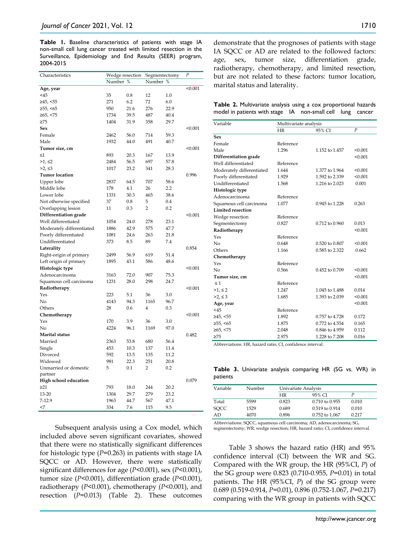**Table 1.** Baseline characteristics of patients with stage IA non-small cell lung cancer treated with limited resection in the Surveillance, Epidemiology and End Results (SEER) program, 2004-2015

| Characteristics              | Wedge resection |      | Segmentectomy  |      | $\boldsymbol{P}$ |
|------------------------------|-----------------|------|----------------|------|------------------|
|                              | Number<br>%     |      | Number<br>%    |      |                  |
| Age, year                    |                 |      |                |      | < 0.001          |
| $<$ 45                       | 35              | 0.8  | 12             | 1.0  |                  |
| ≥45, <55                     | 271             | 6.2  | 72             | 6.0  |                  |
| ≥55, ≤65                     | 950             | 21.6 | 276            | 22.9 |                  |
| ≥65, <75                     | 1734            | 39.5 | 487            | 40.4 |                  |
| >75                          | 1404            | 31.9 | 358            | 29.7 |                  |
| Sex                          |                 |      |                |      | < 0.001          |
| Female                       | 2462            | 56.0 | 714            | 59.3 |                  |
| Male                         | 1932            | 44.0 | 491            | 40.7 |                  |
| Tumor size, cm               |                 |      |                |      | < 0.001          |
| $\leq 1$                     | 893             | 20.3 | 167            | 13.9 |                  |
| >1, ≤2                       | 2484            | 56.5 | 697            | 57.8 |                  |
| >2, ≤3                       | 1017            | 23.2 | 341            | 28.3 |                  |
| <b>Tumor</b> location        |                 |      |                |      | 0.996            |
| Upper lobe                   | 2837            | 64.5 | 707            | 58.6 |                  |
| Middle lobe                  | 178             | 4.1  | 26             | 2.2  |                  |
| Lower lobe                   | 1331            | 30.3 | 465            | 38.6 |                  |
| Not otherwise specified      | 37              | 0.8  | 5              | 0.4  |                  |
| Overlapping lesion           | 11              | 0.3  | $\overline{2}$ | 0.2  |                  |
| Differentiation grade        |                 |      |                |      | < 0.001          |
| Well differentiated          | 1054            | 24.0 | 278            | 23.1 |                  |
| Moderately differentiated    | 1886            | 42.9 | 575            | 47.7 |                  |
| Poorly differentiated        | 1081            | 24.6 | 263            | 21.8 |                  |
| Undifferentiated             | 373             | 8.5  | 89             | 7.4  |                  |
| Laterality                   |                 |      |                |      | 0.854            |
|                              | 2499            | 56.9 | 619            | 51.4 |                  |
| Right-origin of primary      |                 |      |                | 48.6 |                  |
| Left origin of primary       | 1895            | 43.1 | 586            |      |                  |
| Histologic type              |                 |      |                |      | < 0.001          |
| Adenocarcinoma               | 3163            | 72.0 | 907            | 75.3 |                  |
| Squamous cell carcinoma      | 1231            | 28.0 | 298            | 24.7 |                  |
| Radiotherapy                 |                 |      |                |      | < 0.001          |
| Yes                          | 223             | 5.1  | 36             | 3.0  |                  |
| No                           | 4143            | 94.3 | 1165           | 96.7 |                  |
| Others                       | 28              | 0.6  | 4              | 0.3  |                  |
| Chemotherapy                 |                 |      |                |      | < 0.001          |
| Yes                          | 170             | 3.9  | 36             | 3.0  |                  |
| No                           | 4224            | 96.1 | 1169           | 97.0 |                  |
| Marital status               |                 |      |                |      | 0.482            |
| Married                      | 2363            | 53.8 | 680            | 56.4 |                  |
| Single                       | 453             | 10.3 | 137            | 11.4 |                  |
| Divorced                     | 592             | 13.5 | 135            | 11.2 |                  |
| Widowed                      | 981             | 22.3 | 251            | 20.8 |                  |
| Unmarried or domestic        | 5               | 0.1  | $\overline{2}$ | 0.2  |                  |
| partner                      |                 |      |                |      |                  |
| <b>High school education</b> |                 |      |                |      | 0.079            |
| $\geq$ 21                    | 793             | 18.0 | 244            | 20.2 |                  |
| 13-20                        | 1304            | 29.7 | 279            | 23.2 |                  |
| $7-12.9$                     | 1963            | 44.7 | 567            | 47.1 |                  |
| $<$ 7                        | 334             | 7.6  | 115            | 9.5  |                  |

Subsequent analysis using a Cox model, which included above seven significant covariates, showed that there were no statistically significant differences for histologic type (*P*=0.263) in patients with stage IA SQCC or AD. However, there were statistically significant differences for age (*P*<0.001), sex (*P*<0.001), tumor size (*P*<0.001), differentiation grade (*P*<0.001), radiotherapy (*P*<0.001), chemotherapy (*P*<0.001), and resection (*P*=0.013) (Table 2). These outcomes demonstrate that the prognoses of patients with stage IA SQCC or AD are related to the followed factors: age, sex, tumor size, differentiation grade, radiotherapy, chemotherapy, and limited resection, but are not related to these factors: tumor location,

| Table 2. Multivariate analysis using a cox proportional hazards |  |  |  |
|-----------------------------------------------------------------|--|--|--|
| model in patients with stage IA non-small cell lung cancer      |  |  |  |

marital status and laterality.

| Variable                  | Multivariate analysis |                    |                  |  |  |
|---------------------------|-----------------------|--------------------|------------------|--|--|
|                           | <b>HR</b>             | 95% CI             | $\boldsymbol{P}$ |  |  |
| Sex                       |                       |                    |                  |  |  |
| Female                    | Reference             |                    |                  |  |  |
| Male                      | 1.296                 | 1.152 to 1.457     | < 0.001          |  |  |
| Differentiation grade     |                       |                    | < 0.001          |  |  |
| Well differentiated       | Reference             |                    |                  |  |  |
| Moderately differentiated | 1.644                 | 1.377 to 1.964     | < 0.001          |  |  |
| Poorly differentiated     | 1.929                 | 1.592 to 2.339     | < 0.001          |  |  |
| Undifferentiated          | 1.568                 | 1.216 to 2.023     | 0.001            |  |  |
| Histologic type           |                       |                    |                  |  |  |
| Adenocarcinoma            | Reference             |                    |                  |  |  |
| Squamous cell carcinoma   | 1.077                 | 0.945 to 1.228     | 0.263            |  |  |
| <b>Limited resection</b>  |                       |                    |                  |  |  |
| Wedge resection           | Reference             |                    |                  |  |  |
| Segmentectomy             | 0.827                 | 0.712 to 0.960     | 0.013            |  |  |
| Radiotherapy              |                       |                    | < 0.001          |  |  |
| Yes                       | Reference             |                    |                  |  |  |
| No                        | 0.648                 | 0.520 to 0.807     | < 0.001          |  |  |
| Others                    | 1.166                 | 0.585 to 2.322     | 0.662            |  |  |
| Chemotherapy              |                       |                    |                  |  |  |
| Yes                       | Reference             |                    |                  |  |  |
| No                        | 0.566                 | $0.452$ to $0.709$ | < 0.001          |  |  |
| Tumor size, cm            |                       |                    | < 0.001          |  |  |
| $\leq 1$                  | Reference             |                    |                  |  |  |
| $>1, \le 2$               | 1.247                 | 1.045 to 1.488     | 0.014            |  |  |
| $>2, \leq 3$              | 1.685                 | 1.393 to 2.039     | < 0.001          |  |  |
| Age, year                 |                       |                    | < 0.001          |  |  |
| $<$ 45                    | Reference             |                    |                  |  |  |
| ≥45, <55                  | 1.892                 | 0.757 to 4.728     | 0.172            |  |  |
| $\geq 55, \leq 65$        | 1.875                 | 0.772 to 4.554     | 0.165            |  |  |
| ≥65, <75                  | 2.048                 | 0.846 to 4.959     | 0.112            |  |  |
| >75                       | 2.975                 | 1.228 to 7.208     | 0.016            |  |  |

Abbreviations: HR, hazard ratio; CI, confidence interval.

**Table 3.** Univariate analysis comparing HR (SG vs. WR) in patients

| Variable    | Number |       | Univariate Analysis |       |  |  |
|-------------|--------|-------|---------------------|-------|--|--|
|             |        | HR    | 95% CI              |       |  |  |
| Total       | 5599   | 0.823 | 0.710 to 0.955      | 0.010 |  |  |
| <b>SOCC</b> | 1529   | 0.689 | 0.519 to 0.914      | 0.010 |  |  |
| AD          | 4070   | 0.896 | 0.752 to 1.067      | 0.217 |  |  |

Abbreviations: SQCC, squamous cell carcinoma; AD, adenocarcinoma; SG, segmentectomy; WR, wedge resection; HR, hazard ratio; CI, confidence interval.

Table 3 shows the hazard ratio (HR) and 95% confidence interval (CI) between the WR and SG. Compared with the WR group, the HR (95%CI, *P*) of the SG group were 0.823 (0.710-0.955, *P*=0.01) in total patients. The HR (95%CI, *P*) of the SG group were 0.689 (0.519-0.914, *P*=0.01), 0.896 (0.752-1.067, *P*=0.217) comparing with the WR group in patients with SQCC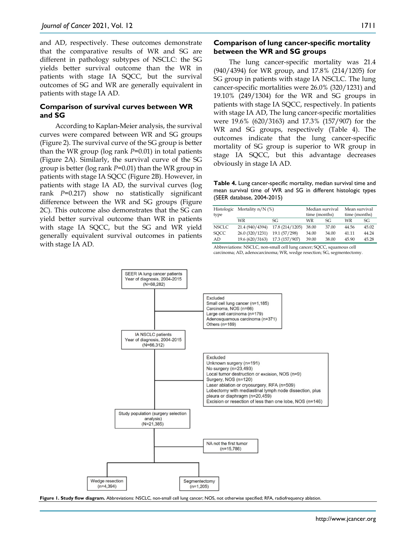and AD, respectively. These outcomes demonstrate that the comparative results of WR and SG are different in pathology subtypes of NSCLC: the SG yields better survival outcome than the WR in patients with stage IA SQCC, but the survival outcomes of SG and WR are generally equivalent in patients with stage IA AD.

#### **Comparison of survival curves between WR and SG**

According to Kaplan-Meier analysis, the survival curves were compared between WR and SG groups (Figure 2). The survival curve of the SG group is better than the WR group (log rank *P*=0.01) in total patients (Figure 2A). Similarly, the survival curve of the SG group is better (log rank *P*=0.01) than the WR group in patients with stage IA SQCC (Figure 2B). However, in patients with stage IA AD, the survival curves (log rank *P*=0.217) show no statistically significant difference between the WR and SG groups (Figure 2C). This outcome also demonstrates that the SG can yield better survival outcome than WR in patients with stage IA SOCC, but the SG and WR yield generally equivalent survival outcomes in patients with stage IA AD.

#### **Comparison of lung cancer-specific mortality between the WR and SG groups**

The lung cancer-specific mortality was 21.4 (940/4394) for WR group, and 17.8% (214/1205) for SG group in patients with stage IA NSCLC. The lung cancer-specific mortalities were 26.0% (320/1231) and 19.10% (249/1304) for the WR and SG groups in patients with stage IA SQCC, respectively. In patients with stage IA AD, The lung cancer-specific mortalities were 19.6% (620/3163) and 17.3% (157/907) for the WR and SG groups, respectively (Table 4). The outcomes indicate that the lung cancer-specific mortality of SG group is superior to WR group in stage IA SQCC, but this advantage decreases obviously in stage IA AD.

**Table 4.** Lung cancer-specific mortality, median survival time and mean survival time of WR and SG in different histologic types (SEER database, 2004-2015)

|              | Histologic Mortality n/N (%) |                 | Median survival |       | Mean survival |       |
|--------------|------------------------------|-----------------|-----------------|-------|---------------|-------|
| type         |                              |                 | time (months)   |       | time (months) |       |
|              | WR                           | SG              | WR              | SG    | WR            | SG    |
| <b>NSCLC</b> | 21.4 (940/4394)              | 17.8 (214/1205) | 38.00           | 37.00 | 44.56         | 45.02 |
| <b>SOCC</b>  | 26.0 (320/1231)              | 19.1 (57/298)   | 34.00           | 34.00 | 41.11         | 44.24 |
| AD           | 19.6 (620/3163)              | 17.3 (157/907)  | 39.00           | 38.00 | 45.90         | 45.28 |

Abbreviations: NSCLC, non-small cell lung cancer; SQCC, squamous cell carcinoma; AD, adenocarcinoma; WR, wedge resection; SG, segmentectomy.



**Figure 1. Study flow diagram.** Abbreviations: NSCLC, non-small cell lung cancer; NOS, not otherwise specified; RFA, radiofrequency ablation.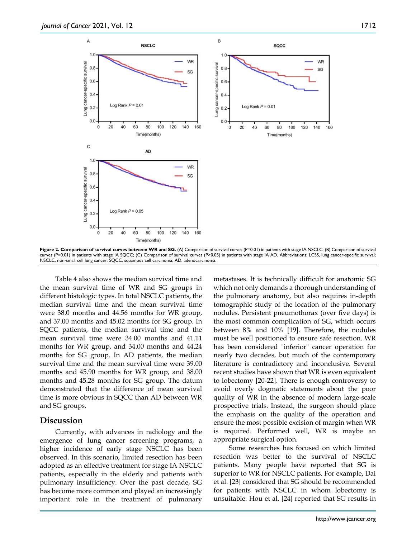

Figure 2. Comparison of survival curves between WR and SG. (A) Comparison of survival curves (P=0.01) in patients with stage IA NSCLC; (B) Comparison of survival curves (P=0.01) in patients with stage IA SQCC; (C) Comparison of survival curves (P>0.05) in patients with stage IA AD. Abbreviations: LCSS, lung cancer-specific survival; NSCLC, non-small cell lung cancer; SQCC, squamous cell carcinoma; AD, adenocarcinoma.

Table 4 also shows the median survival time and the mean survival time of WR and SG groups in different histologic types. In total NSCLC patients, the median survival time and the mean survival time were 38.0 months and 44.56 months for WR group, and 37.00 months and 45.02 months for SG group. In SQCC patients, the median survival time and the mean survival time were 34.00 months and 41.11 months for WR group, and 34.00 months and 44.24 months for SG group. In AD patients, the median survival time and the mean survival time were 39.00 months and 45.90 months for WR group, and 38.00 months and 45.28 months for SG group. The datum demonstrated that the difference of mean survival time is more obvious in SQCC than AD between WR and SG groups.

## **Discussion**

Currently, with advances in radiology and the emergence of lung cancer screening programs, a higher incidence of early stage NSCLC has been observed. In this scenario, limited resection has been adopted as an effective treatment for stage IA NSCLC patients, especially in the elderly and patients with pulmonary insufficiency. Over the past decade, SG has become more common and played an increasingly important role in the treatment of pulmonary

metastases. It is technically difficult for anatomic SG which not only demands a thorough understanding of the pulmonary anatomy, but also requires in-depth tomographic study of the location of the pulmonary nodules. Persistent pneumothorax (over five days) is the most common complication of SG, which occurs between 8% and 10% [19]. Therefore, the nodules must be well positioned to ensure safe resection. WR has been considered "inferior" cancer operation for nearly two decades, but much of the contemporary literature is contradictory and inconclusive. Several recent studies have shown that WR is even equivalent to lobectomy [20-22]. There is enough controversy to avoid overly dogmatic statements about the poor quality of WR in the absence of modern large-scale prospective trials. Instead, the surgeon should place the emphasis on the quality of the operation and ensure the most possible excision of margin when WR is required. Performed well, WR is maybe an appropriate surgical option.

Some researches has focused on which limited resection was better to the survival of NSCLC patients. Many people have reported that SG is superior to WR for NSCLC patients. For example, Dai et al. [23] considered that SG should be recommended for patients with NSCLC in whom lobectomy is unsuitable. Hou et al. [24] reported that SG results in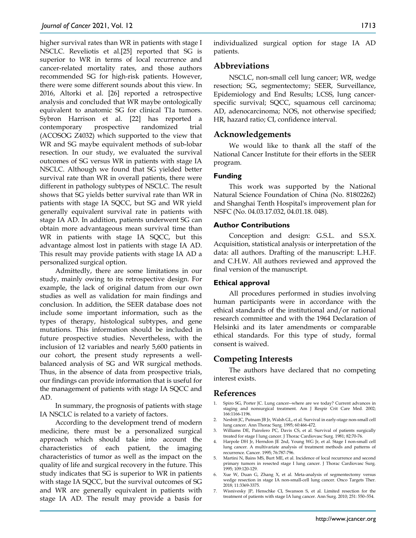higher survival rates than WR in patients with stage I NSCLC. Reveliotis et al.[25] reported that SG is superior to WR in terms of local recurrence and cancer-related mortality rates, and those authors recommended SG for high-risk patients. However, there were some different sounds about this view. In 2016, Altorki et al. [26] reported a retrospective analysis and concluded that WR maybe ontologically equivalent to anatomic SG for clinical T1a tumors. Sybron Harrison et al. [22] has reported a contemporary prospective randomized trial (ACOSOG Z4032) which supported to the view that WR and SG maybe equivalent methods of sub-lobar resection. In our study, we evaluated the survival outcomes of SG versus WR in patients with stage IA NSCLC. Although we found that SG yielded better survival rate than WR in overall patients, there were different in pathology subtypes of NSCLC. The result shows that SG yields better survival rate than WR in patients with stage IA SQCC, but SG and WR yield generally equivalent survival rate in patients with stage IA AD. In addition, patients underwent SG can obtain more advantageous mean survival time than WR in patients with stage IA SQCC, but this advantage almost lost in patients with stage IA AD. This result may provide patients with stage IA AD a personalized surgical option.

Admittedly, there are some limitations in our study, mainly owing to its retrospective design. For example, the lack of original datum from our own studies as well as validation for main findings and conclusion. In addition, the SEER database does not include some important information, such as the types of therapy, histological subtypes, and gene mutations. This information should be included in future prospective studies. Nevertheless, with the inclusion of 12 variables and nearly 5,600 patients in our cohort, the present study represents a wellbalanced analysis of SG and WR surgical methods. Thus, in the absence of data from prospective trials, our findings can provide information that is useful for the management of patients with stage IA SQCC and AD.

In summary, the prognosis of patients with stage IA NSCLC is related to a variety of factors.

According to the development trend of modern medicine, there must be a personalized surgical approach which should take into account the characteristics of each patient, the imaging characteristics of tumor as well as the impact on the quality of life and surgical recovery in the future. This study indicates that SG is superior to WR in patients with stage IA SQCC, but the survival outcomes of SG and WR are generally equivalent in patients with stage IA AD. The result may provide a basis for

individualized surgical option for stage IA AD patients.

# **Abbreviations**

NSCLC, non-small cell lung cancer; WR, wedge resection; SG, segmentectomy; SEER, Surveillance, Epidemiology and End Results; LCSS, lung cancerspecific survival; SQCC, squamous cell carcinoma; AD, adenocarcinoma; NOS, not otherwise specified; HR, hazard ratio; CI, confidence interval.

## **Acknowledgements**

We would like to thank all the staff of the National Cancer Institute for their efforts in the SEER program.

#### **Funding**

This work was supported by the National Natural Science Foundation of China (No. 81802262) and Shanghai Tenth Hospital's improvement plan for NSFC (No. 04.03.17.032, 04.01.18. 048).

#### **Author Contributions**

Conception and design: G.S.L. and S.S.X. Acquisition, statistical analysis or interpretation of the data: all authors. Drafting of the manuscript: L.H.F. and C.H.W. All authors reviewed and approved the final version of the manuscript.

#### **Ethical approval**

All procedures performed in studies involving human participants were in accordance with the ethical standards of the institutional and/or national research committee and with the 1964 Declaration of Helsinki and its later amendments or comparable ethical standards. For this type of study, formal consent is waived.

# **Competing Interests**

The authors have declared that no competing interest exists.

## **References**

- 1. Spiro SG, Porter JC. Lung cancer--where are we today? Current advances in staging and nonsurgical treatment. Am J Respir Crit Care Med*.* 2002; 166:1166-1196.
- 2. Nesbitt JC, Putnam JB Jr, Walsh GL, et al. Survival in early-stage non-small cell lung cancer. Ann Thorac Surg*.* 1995; 60:466-472.
- 3. Williams DE, Pairolero PC, Davis CS, et al. Survival of patients surgically treated for stage I lung cancer. J Thorac Cardiovasc Surg*.* 1981; 82:70-76.
- 4. Harpole DH Jr, Herndon JE 2nd, Young WG Jr, et al. Stage I non-small cell lung cancer. A multivariate analysis of treatment methods and patterns of recurrence. Cancer*.* 1995; 76:787-796.
- 5. Martini N, Bains MS, Burt ME, et al. Incidence of local recurrence and second primary tumors in resected stage I lung cancer. J Thorac Cardiovasc Surg*.* 1995; 109:120-129.
- 6. Xue W, Duan G, Zhang X, et al. Meta-analysis of segmentectomy versus wedge resection in stage IA non-small-cell lung cancer. Onco Targets Ther*.* 2018; 11:3369-3375.
- 7. Wisnivesky JP, Henschke CI, Swanson S, et al. Limited resection for the treatment of patients with stage IA lung cancer. Ann Surg*.* 2010; 251: 550–554.